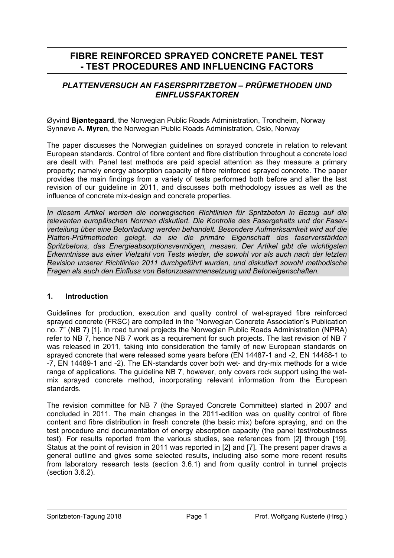# **FIBRE REINFORCED SPRAYED CONCRETE PANEL TEST - TEST PROCEDURES AND INFLUENCING FACTORS**

## *PLATTENVERSUCH AN FASERSPRITZBETON – PRÜFMETHODEN UND EINFLUSSFAKTOREN*

Øyvind **Bjøntegaard**, the Norwegian Public Roads Administration, Trondheim, Norway Synnøve A. **Myren**, the Norwegian Public Roads Administration, Oslo, Norway

The paper discusses the Norwegian guidelines on sprayed concrete in relation to relevant European standards. Control of fibre content and fibre distribution throughout a concrete load are dealt with. Panel test methods are paid special attention as they measure a primary property; namely energy absorption capacity of fibre reinforced sprayed concrete. The paper provides the main findings from a variety of tests performed both before and after the last revision of our guideline in 2011, and discusses both methodology issues as well as the influence of concrete mix-design and concrete properties.

*In diesem Artikel werden die norwegischen Richtlinien für Spritzbeton in Bezug auf die relevanten europäischen Normen diskutiert. Die Kontrolle des Fasergehalts und der Faserverteilung über eine Betonladung werden behandelt. Besondere Aufmerksamkeit wird auf die Platten-Prüfmethoden gelegt, da sie die primäre Eigenschaft des faserverstärkten Spritzbetons, das Energieabsorptionsvermögen, messen. Der Artikel gibt die wichtigsten Erkenntnisse aus einer Vielzahl von Tests wieder, die sowohl vor als auch nach der letzten Revision unserer Richtlinien 2011 durchgeführt wurden, und diskutiert sowohl methodische Fragen als auch den Einfluss von Betonzusammensetzung und Betoneigenschaften.* 

### **1. Introduction**

Guidelines for production, execution and quality control of wet-sprayed fibre reinforced sprayed concrete (FRSC) are compiled in the "Norwegian Concrete Association's Publication no. 7" (NB 7) [1]. In road tunnel projects the Norwegian Public Roads Administration (NPRA) refer to NB 7, hence NB 7 work as a requirement for such projects. The last revision of NB 7 was released in 2011, taking into consideration the family of new European standards on sprayed concrete that were released some years before (EN 14487-1 and -2, EN 14488-1 to -7, EN 14489-1 and -2). The EN-standards cover both wet- and dry-mix methods for a wide range of applications. The guideline NB 7, however, only covers rock support using the wetmix sprayed concrete method, incorporating relevant information from the European standards.

The revision committee for NB 7 (the Sprayed Concrete Committee) started in 2007 and concluded in 2011. The main changes in the 2011-edition was on quality control of fibre content and fibre distribution in fresh concrete (the basic mix) before spraying, and on the test procedure and documentation of energy absorption capacity (the panel test/robustness test). For results reported from the various studies, see references from [2] through [19]. Status at the point of revision in 2011 was reported in [2] and [7]. The present paper draws a general outline and gives some selected results, including also some more recent results from laboratory research tests (section 3.6.1) and from quality control in tunnel projects (section 3.6.2).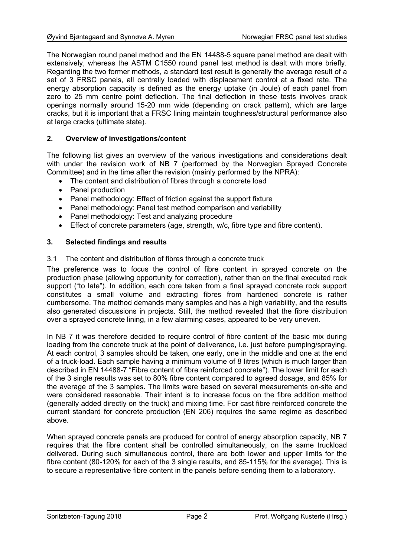The Norwegian round panel method and the EN 14488-5 square panel method are dealt with extensively, whereas the ASTM C1550 round panel test method is dealt with more briefly. Regarding the two former methods, a standard test result is generally the average result of a set of 3 FRSC panels, all centrally loaded with displacement control at a fixed rate. The energy absorption capacity is defined as the energy uptake (in Joule) of each panel from zero to 25 mm centre point deflection. The final deflection in these tests involves crack openings normally around 15-20 mm wide (depending on crack pattern), which are large cracks, but it is important that a FRSC lining maintain toughness/structural performance also at large cracks (ultimate state).

### **2. Overview of investigations/content**

The following list gives an overview of the various investigations and considerations dealt with under the revision work of NB 7 (performed by the Norwegian Sprayed Concrete Committee) and in the time after the revision (mainly performed by the NPRA):

- The content and distribution of fibres through a concrete load
- Panel production
- Panel methodology: Effect of friction against the support fixture
- Panel methodology: Panel test method comparison and variability
- Panel methodology: Test and analyzing procedure
- Effect of concrete parameters (age, strength, w/c, fibre type and fibre content).

### **3. Selected findings and results**

#### 3.1 The content and distribution of fibres through a concrete truck

The preference was to focus the control of fibre content in sprayed concrete on the production phase (allowing opportunity for correction), rather than on the final executed rock support ("to late"). In addition, each core taken from a final sprayed concrete rock support constitutes a small volume and extracting fibres from hardened concrete is rather cumbersome. The method demands many samples and has a high variability, and the results also generated discussions in projects. Still, the method revealed that the fibre distribution over a sprayed concrete lining, in a few alarming cases, appeared to be very uneven.

In NB 7 it was therefore decided to require control of fibre content of the basic mix during loading from the concrete truck at the point of deliverance, i.e. just before pumping/spraying. At each control, 3 samples should be taken, one early, one in the middle and one at the end of a truck-load. Each sample having a minimum volume of 8 litres (which is much larger than described in EN 14488-7 "Fibre content of fibre reinforced concrete"). The lower limit for each of the 3 single results was set to 80% fibre content compared to agreed dosage, and 85% for the average of the 3 samples. The limits were based on several measurements on-site and were considered reasonable. Their intent is to increase focus on the fibre addition method (generally added directly on the truck) and mixing time. For cast fibre reinforced concrete the current standard for concrete production (EN 206) requires the same regime as described above.

When sprayed concrete panels are produced for control of energy absorption capacity, NB 7 requires that the fibre content shall be controlled simultaneously, on the same truckload delivered. During such simultaneous control, there are both lower and upper limits for the fibre content (80-120% for each of the 3 single results, and 85-115% for the average). This is to secure a representative fibre content in the panels before sending them to a laboratory.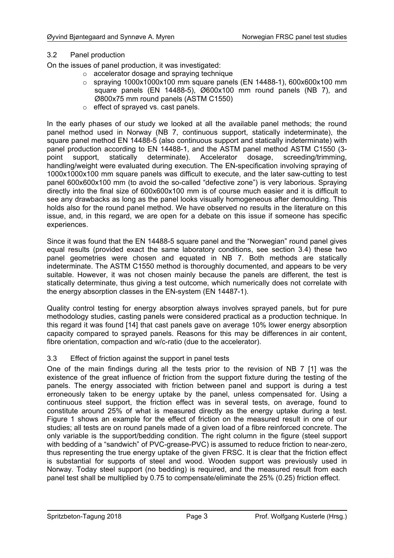### 3.2 Panel production

On the issues of panel production, it was investigated:

- o accelerator dosage and spraying technique
- $\circ$  spraying 1000x1000x100 mm square panels (EN 14488-1), 600x600x100 mm square panels (EN 14488-5), Ø600x100 mm round panels (NB 7), and Ø800x75 mm round panels (ASTM C1550)
- o effect of sprayed vs. cast panels.

In the early phases of our study we looked at all the available panel methods; the round panel method used in Norway (NB 7, continuous support, statically indeterminate), the square panel method EN 14488-5 (also continuous support and statically indeterminate) with panel production according to EN 14488-1, and the ASTM panel method ASTM C1550 (3 point support, statically determinate). Accelerator dosage, screeding/trimming, handling/weight were evaluated during execution. The EN-specification involving spraying of 1000x1000x100 mm square panels was difficult to execute, and the later saw-cutting to test panel 600x600x100 mm (to avoid the so-called "defective zone") is very laborious. Spraying directly into the final size of 600x600x100 mm is of course much easier and it is difficult to see any drawbacks as long as the panel looks visually homogeneous after demoulding. This holds also for the round panel method. We have observed no results in the literature on this issue, and, in this regard, we are open for a debate on this issue if someone has specific experiences.

Since it was found that the EN 14488-5 square panel and the "Norwegian" round panel gives equal results (provided exact the same laboratory conditions, see section 3.4) these two panel geometries were chosen and equated in NB 7. Both methods are statically indeterminate. The ASTM C1550 method is thoroughly documented, and appears to be very suitable. However, it was not chosen mainly because the panels are different, the test is statically determinate, thus giving a test outcome, which numerically does not correlate with the energy absorption classes in the EN-system (EN 14487-1).

Quality control testing for energy absorption always involves sprayed panels, but for pure methodology studies, casting panels were considered practical as a production technique. In this regard it was found [14] that cast panels gave on average 10% lower energy absorption capacity compared to sprayed panels. Reasons for this may be differences in air content, fibre orientation, compaction and w/c-ratio (due to the accelerator).

### 3.3 Effect of friction against the support in panel tests

One of the main findings during all the tests prior to the revision of NB 7 [1] was the existence of the great influence of friction from the support fixture during the testing of the panels. The energy associated with friction between panel and support is during a test erroneously taken to be energy uptake by the panel, unless compensated for. Using a continuous steel support, the friction effect was in several tests, on average, found to constitute around 25% of what is measured directly as the energy uptake during a test. Figure 1 shows an example for the effect of friction on the measured result in one of our studies; all tests are on round panels made of a given load of a fibre reinforced concrete. The only variable is the support/bedding condition. The right column in the figure (steel support with bedding of a "sandwich" of PVC-grease-PVC) is assumed to reduce friction to near-zero, thus representing the true energy uptake of the given FRSC. It is clear that the friction effect is substantial for supports of steel and wood. Wooden support was previously used in Norway. Today steel support (no bedding) is required, and the measured result from each panel test shall be multiplied by 0.75 to compensate/eliminate the 25% (0.25) friction effect.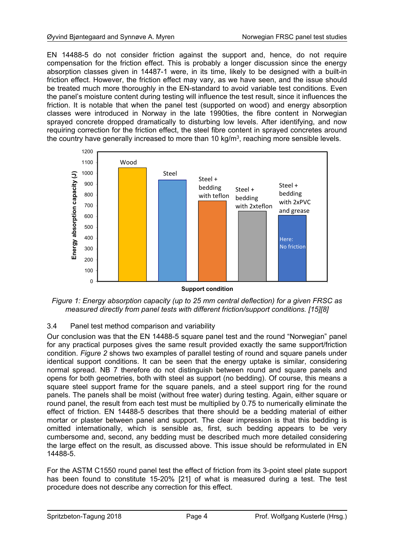EN 14488-5 do not consider friction against the support and, hence, do not require compensation for the friction effect. This is probably a longer discussion since the energy absorption classes given in 14487-1 were, in its time, likely to be designed with a built-in friction effect. However, the friction effect may vary, as we have seen, and the issue should be treated much more thoroughly in the EN-standard to avoid variable test conditions. Even the panel's moisture content during testing will influence the test result, since it influences the friction. It is notable that when the panel test (supported on wood) and energy absorption classes were introduced in Norway in the late 1990ties, the fibre content in Norwegian sprayed concrete dropped dramatically to disturbing low levels. After identifying, and now requiring correction for the friction effect, the steel fibre content in sprayed concretes around the country have generally increased to more than 10 kg/m<sup>3</sup>, reaching more sensible levels.



**Support condition** 

*Figure 1: Energy absorption capacity (up to 25 mm central deflection) for a given FRSC as measured directly from panel tests with different friction/support conditions. [15][8]* 

### 3.4 Panel test method comparison and variability

Our conclusion was that the EN 14488-5 square panel test and the round "Norwegian" panel for any practical purposes gives the same result provided exactly the same support/friction condition. *Figure 2* shows two examples of parallel testing of round and square panels under identical support conditions. It can be seen that the energy uptake is similar, considering normal spread. NB 7 therefore do not distinguish between round and square panels and opens for both geometries, both with steel as support (no bedding). Of course, this means a square steel support frame for the square panels, and a steel support ring for the round panels. The panels shall be moist (without free water) during testing. Again, either square or round panel, the result from each test must be multiplied by 0.75 to numerically eliminate the effect of friction. EN 14488-5 describes that there should be a bedding material of either mortar or plaster between panel and support. The clear impression is that this bedding is omitted internationally, which is sensible as, first, such bedding appears to be very cumbersome and, second, any bedding must be described much more detailed considering the large effect on the result, as discussed above. This issue should be reformulated in EN 14488-5.

For the ASTM C1550 round panel test the effect of friction from its 3-point steel plate support has been found to constitute 15-20% [21] of what is measured during a test. The test procedure does not describe any correction for this effect.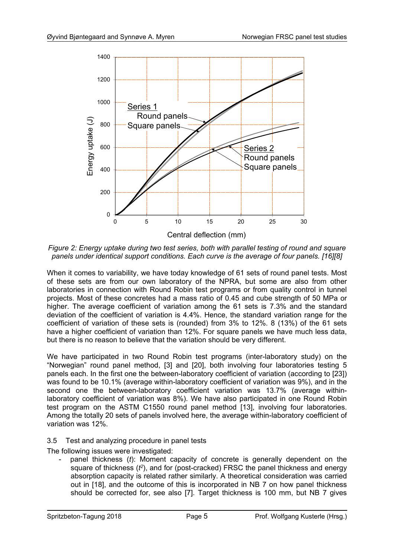

*Figure 2: Energy uptake during two test series, both with parallel testing of round and square panels under identical support conditions. Each curve is the average of four panels. [16][8]* 

When it comes to variability, we have today knowledge of 61 sets of round panel tests. Most of these sets are from our own laboratory of the NPRA, but some are also from other laboratories in connection with Round Robin test programs or from quality control in tunnel projects. Most of these concretes had a mass ratio of 0.45 and cube strength of 50 MPa or higher. The average coefficient of variation among the 61 sets is 7.3% and the standard deviation of the coefficient of variation is 4.4%. Hence, the standard variation range for the coefficient of variation of these sets is (rounded) from 3% to 12%. 8 (13%) of the 61 sets have a higher coefficient of variation than 12%. For square panels we have much less data, but there is no reason to believe that the variation should be very different.

We have participated in two Round Robin test programs (inter-laboratory study) on the "Norwegian" round panel method, [3] and [20], both involving four laboratories testing 5 panels each. In the first one the between-laboratory coefficient of variation (according to [23]) was found to be 10.1% (average within-laboratory coefficient of variation was 9%), and in the second one the between-laboratory coefficient variation was 13.7% (average withinlaboratory coefficient of variation was 8%). We have also participated in one Round Robin test program on the ASTM C1550 round panel method [13], involving four laboratories. Among the totally 20 sets of panels involved here, the average within-laboratory coefficient of variation was 12%.

3.5 Test and analyzing procedure in panel tests

The following issues were investigated:

panel thickness (*t*): Moment capacity of concrete is generally dependent on the square of thickness (*t <sup>2</sup>*), and for (post-cracked) FRSC the panel thickness and energy absorption capacity is related rather similarly. A theoretical consideration was carried out in [18], and the outcome of this is incorporated in NB 7 on how panel thickness should be corrected for, see also [7]. Target thickness is 100 mm, but NB 7 gives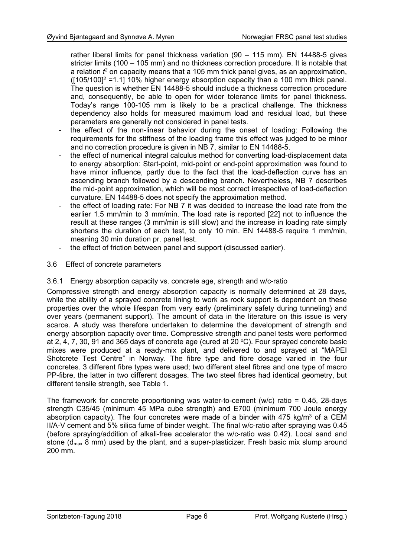rather liberal limits for panel thickness variation (90 – 115 mm). EN 14488-5 gives stricter limits (100 – 105 mm) and no thickness correction procedure. It is notable that a relation *t <sup>2</sup>* on capacity means that a 105 mm thick panel gives, as an approximation,  $(105/100)^2$  =1.1] 10% higher energy absorption capacity than a 100 mm thick panel. The question is whether EN 14488-5 should include a thickness correction procedure and, consequently, be able to open for wider tolerance limits for panel thickness. Today's range 100-105 mm is likely to be a practical challenge. The thickness dependency also holds for measured maximum load and residual load, but these parameters are generally not considered in panel tests.

- the effect of the non-linear behavior during the onset of loading: Following the requirements for the stiffness of the loading frame this effect was judged to be minor and no correction procedure is given in NB 7, similar to EN 14488-5.
- the effect of numerical integral calculus method for converting load-displacement data to energy absorption: Start-point, mid-point or end-point approximation was found to have minor influence, partly due to the fact that the load-deflection curve has an ascending branch followed by a descending branch. Nevertheless, NB 7 describes the mid-point approximation, which will be most correct irrespective of load-deflection curvature. EN 14488-5 does not specify the approximation method.
- the effect of loading rate: For NB 7 it was decided to increase the load rate from the earlier 1.5 mm/min to 3 mm/min. The load rate is reported [22] not to influence the result at these ranges (3 mm/min is still slow) and the increase in loading rate simply shortens the duration of each test, to only 10 min. EN 14488-5 require 1 mm/min, meaning 30 min duration pr. panel test.
- the effect of friction between panel and support (discussed earlier).
- 3.6 Effect of concrete parameters

#### 3.6.1 Energy absorption capacity vs. concrete age, strength and w/c-ratio

Compressive strength and energy absorption capacity is normally determined at 28 days, while the ability of a sprayed concrete lining to work as rock support is dependent on these properties over the whole lifespan from very early (preliminary safety during tunneling) and over years (permanent support). The amount of data in the literature on this issue is very scarce. A study was therefore undertaken to determine the development of strength and energy absorption capacity over time. Compressive strength and panel tests were performed at 2, 4, 7, 30, 91 and 365 days of concrete age (cured at 20  $^{\circ}$ C). Four sprayed concrete basic mixes were produced at a ready-mix plant, and delivered to and sprayed at "MAPEI Shotcrete Test Centre" in Norway. The fibre type and fibre dosage varied in the four concretes. 3 different fibre types were used; two different steel fibres and one type of macro PP-fibre, the latter in two different dosages. The two steel fibres had identical geometry, but different tensile strength, see Table 1.

The framework for concrete proportioning was water-to-cement (w/c) ratio = 0.45, 28-days strength C35/45 (minimum 45 MPa cube strength) and E700 (minimum 700 Joule energy absorption capacity). The four concretes were made of a binder with  $475$  kg/m<sup>3</sup> of a CEM II/A-V cement and 5% silica fume of binder weight. The final w/c-ratio after spraying was 0.45 (before spraying/addition of alkali-free accelerator the w/c-ratio was 0.42). Local sand and stone ( $d_{\text{max}}$  8 mm) used by the plant, and a super-plasticizer. Fresh basic mix slump around 200 mm.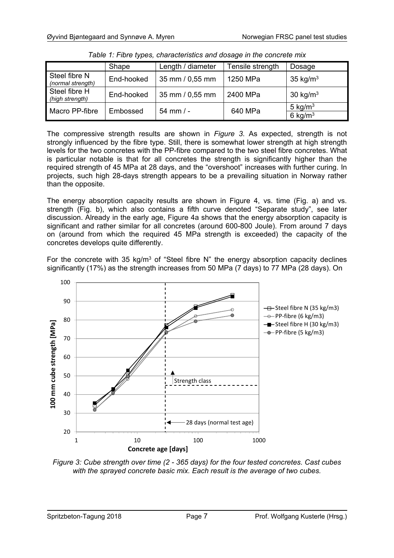|                                    | Shape      | Length / diameter | Tensile strength | Dosage                   |
|------------------------------------|------------|-------------------|------------------|--------------------------|
| Steel fibre N<br>(normal strength) | End-hooked | 35 mm / 0,55 mm   | 1250 MPa         | 35 kg/ $m3$              |
| Steel fibre H<br>(high strength)   | End-hooked | 35 mm / 0,55 mm   | 2400 MPa         | 30 kg/ $m3$              |
| Macro PP-fibre                     | Embossed   | $54$ mm $/ -$     | 640 MPa          | 5 kg/ $m3$<br>6 kg/ $m3$ |

*Table 1: Fibre types, characteristics and dosage in the concrete mix* 

The compressive strength results are shown in *Figure 3*. As expected, strength is not strongly influenced by the fibre type. Still, there is somewhat lower strength at high strength levels for the two concretes with the PP-fibre compared to the two steel fibre concretes. What is particular notable is that for all concretes the strength is significantly higher than the required strength of 45 MPa at 28 days, and the "overshoot" increases with further curing. In projects, such high 28-days strength appears to be a prevailing situation in Norway rather than the opposite.

The energy absorption capacity results are shown in Figure 4, ys. time (Fig. a) and ys. strength (Fig. b), which also contains a fifth curve denoted "Separate study", see later discussion. Already in the early age, Figure 4a shows that the energy absorption capacity is significant and rather similar for all concretes (around 600-800 Joule). From around 7 days on (around from which the required 45 MPa strength is exceeded) the capacity of the concretes develops quite differently.

For the concrete with 35 kg/m<sup>3</sup> of "Steel fibre N" the energy absorption capacity declines significantly (17%) as the strength increases from 50 MPa (7 days) to 77 MPa (28 days). On



*Figure 3: Cube strength over time (2 - 365 days) for the four tested concretes. Cast cubes with the sprayed concrete basic mix. Each result is the average of two cubes.*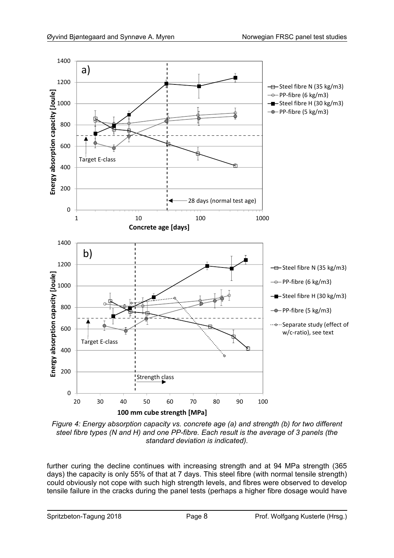

*Figure 4: Energy absorption capacity vs. concrete age (a) and strength (b) for two different steel fibre types (N and H) and one PP-fibre. Each result is the average of 3 panels (the standard deviation is indicated).* 

further curing the decline continues with increasing strength and at 94 MPa strength (365 days) the capacity is only 55% of that at 7 days. This steel fibre (with normal tensile strength) could obviously not cope with such high strength levels, and fibres were observed to develop tensile failure in the cracks during the panel tests (perhaps a higher fibre dosage would have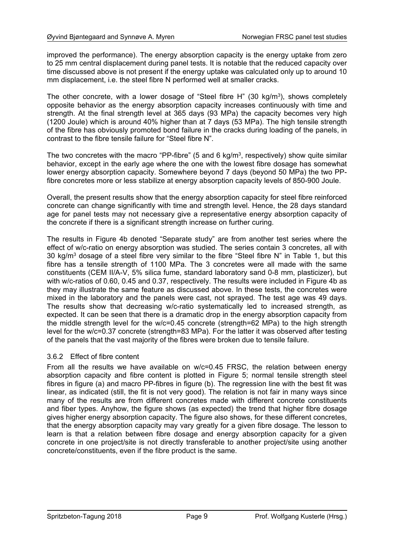improved the performance). The energy absorption capacity is the energy uptake from zero to 25 mm central displacement during panel tests. It is notable that the reduced capacity over time discussed above is not present if the energy uptake was calculated only up to around 10 mm displacement, i.e. the steel fibre N performed well at smaller cracks.

The other concrete, with a lower dosage of "Steel fibre H"  $(30 \text{ kg/m}^3)$ , shows completely opposite behavior as the energy absorption capacity increases continuously with time and strength. At the final strength level at 365 days (93 MPa) the capacity becomes very high (1200 Joule) which is around 40% higher than at 7 days (53 MPa). The high tensile strength of the fibre has obviously promoted bond failure in the cracks during loading of the panels, in contrast to the fibre tensile failure for "Steel fibre N".

The two concretes with the macro "PP-fibre" (5 and 6 kg/m<sup>3</sup>, respectively) show quite similar behavior, except in the early age where the one with the lowest fibre dosage has somewhat lower energy absorption capacity. Somewhere beyond 7 days (beyond 50 MPa) the two PPfibre concretes more or less stabilize at energy absorption capacity levels of 850-900 Joule.

Overall, the present results show that the energy absorption capacity for steel fibre reinforced concrete can change significantly with time and strength level. Hence, the 28 days standard age for panel tests may not necessary give a representative energy absorption capacity of the concrete if there is a significant strength increase on further curing.

The results in Figure 4b denoted "Separate study" are from another test series where the effect of w/c-ratio on energy absorption was studied. The series contain 3 concretes, all with 30 kg/m<sup>3</sup> dosage of a steel fibre very similar to the fibre "Steel fibre N" in Table 1, but this fibre has a tensile strength of 1100 MPa. The 3 concretes were all made with the same constituents (CEM II/A-V, 5% silica fume, standard laboratory sand 0-8 mm, plasticizer), but with w/c-ratios of 0.60, 0.45 and 0.37, respectively. The results were included in Figure 4b as they may illustrate the same feature as discussed above. In these tests, the concretes were mixed in the laboratory and the panels were cast, not sprayed. The test age was 49 days. The results show that decreasing w/c-ratio systematically led to increased strength, as expected. It can be seen that there is a dramatic drop in the energy absorption capacity from the middle strength level for the w/c=0.45 concrete (strength=62 MPa) to the high strength level for the w/c=0.37 concrete (strength=83 MPa). For the latter it was observed after testing of the panels that the vast majority of the fibres were broken due to tensile failure.

#### 3.6.2 Effect of fibre content

From all the results we have available on w/c=0.45 FRSC, the relation between energy absorption capacity and fibre content is plotted in Figure 5; normal tensile strength steel fibres in figure (a) and macro PP-fibres in figure (b). The regression line with the best fit was linear, as indicated (still, the fit is not very good). The relation is not fair in many ways since many of the results are from different concretes made with different concrete constituents and fiber types. Anyhow, the figure shows (as expected) the trend that higher fibre dosage gives higher energy absorption capacity. The figure also shows, for these different concretes, that the energy absorption capacity may vary greatly for a given fibre dosage. The lesson to learn is that a relation between fibre dosage and energy absorption capacity for a given concrete in one project/site is not directly transferable to another project/site using another concrete/constituents, even if the fibre product is the same.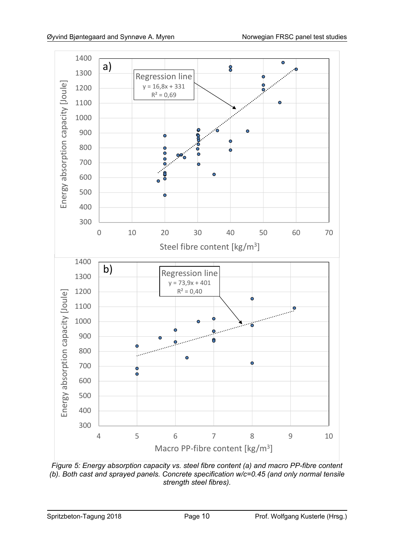

*Figure 5: Energy absorption capacity vs. steel fibre content (a) and macro PP-fibre content (b). Both cast and sprayed panels. Concrete specification w/c=0.45 (and only normal tensile strength steel fibres).*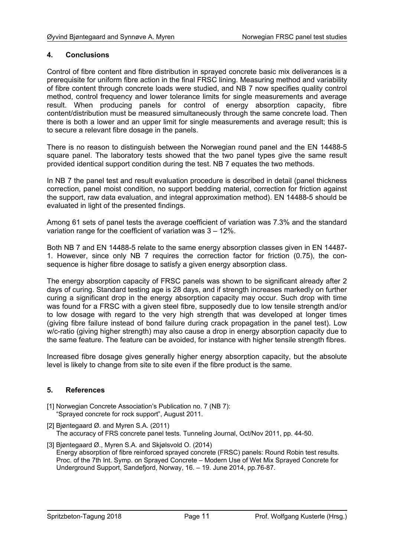#### **4. Conclusions**

Control of fibre content and fibre distribution in sprayed concrete basic mix deliverances is a prerequisite for uniform fibre action in the final FRSC lining. Measuring method and variability of fibre content through concrete loads were studied, and NB 7 now specifies quality control method, control frequency and lower tolerance limits for single measurements and average result. When producing panels for control of energy absorption capacity, fibre content/distribution must be measured simultaneously through the same concrete load. Then there is both a lower and an upper limit for single measurements and average result; this is to secure a relevant fibre dosage in the panels.

There is no reason to distinguish between the Norwegian round panel and the EN 14488-5 square panel. The laboratory tests showed that the two panel types give the same result provided identical support condition during the test. NB 7 equates the two methods.

In NB 7 the panel test and result evaluation procedure is described in detail (panel thickness correction, panel moist condition, no support bedding material, correction for friction against the support, raw data evaluation, and integral approximation method). EN 14488-5 should be evaluated in light of the presented findings.

Among 61 sets of panel tests the average coefficient of variation was 7.3% and the standard variation range for the coefficient of variation was 3 – 12%.

Both NB 7 and EN 14488-5 relate to the same energy absorption classes given in EN 14487- 1. However, since only NB 7 requires the correction factor for friction (0.75), the consequence is higher fibre dosage to satisfy a given energy absorption class.

The energy absorption capacity of FRSC panels was shown to be significant already after 2 days of curing. Standard testing age is 28 days, and if strength increases markedly on further curing a significant drop in the energy absorption capacity may occur. Such drop with time was found for a FRSC with a given steel fibre, supposedly due to low tensile strength and/or to low dosage with regard to the very high strength that was developed at longer times (giving fibre failure instead of bond failure during crack propagation in the panel test). Low w/c-ratio (giving higher strength) may also cause a drop in energy absorption capacity due to the same feature. The feature can be avoided, for instance with higher tensile strength fibres.

Increased fibre dosage gives generally higher energy absorption capacity, but the absolute level is likely to change from site to site even if the fibre product is the same.

### **5. References**

- [1] Norwegian Concrete Association's Publication no. 7 (NB 7): "Sprayed concrete for rock support", August 2011.
- [2] Biøntegaard Ø. and Myren S.A. (2011) The accuracy of FRS concrete panel tests. Tunneling Journal, Oct/Nov 2011, pp. 44-50.
- [3] Bjøntegaard Ø., Myren S.A. and Skjølsvold O. (2014) Energy absorption of fibre reinforced sprayed concrete (FRSC) panels: Round Robin test results. Proc. of the 7th Int. Symp. on Sprayed Concrete – Modern Use of Wet Mix Sprayed Concrete for Underground Support, Sandefjord, Norway, 16. – 19. June 2014, pp.76-87.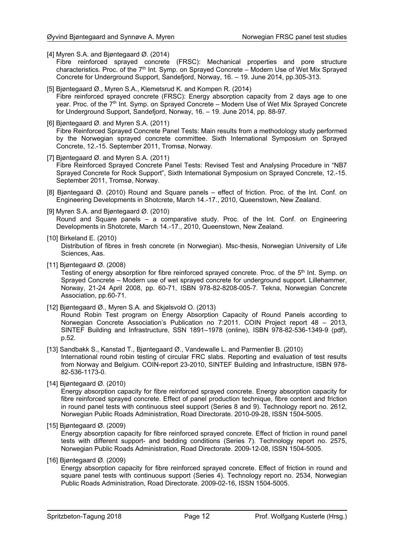- [4] Myren S.A. and Bjøntegaard Ø. (2014)
	- Fibre reinforced sprayed concrete (FRSC): Mechanical properties and pore structure characteristics. Proc. of the  $7<sup>th</sup>$  Int. Symp. on Sprayed Concrete – Modern Use of Wet Mix Sprayed Concrete for Underground Support, Sandefjord, Norway, 16. – 19. June 2014, pp.305-313.
- [5] Bjøntegaard Ø., Myren S.A., Klemetsrud K. and Kompen R. (2014) Fibre reinforced sprayed concrete (FRSC): Energy absorption capacity from 2 days age to one year. Proc. of the 7<sup>th</sup> Int. Symp. on Sprayed Concrete – Modern Use of Wet Mix Sprayed Concrete for Underground Support, Sandefjord, Norway, 16. – 19. June 2014, pp. 88-97.
- [6] Bjøntegaard Ø. and Myren S.A. (2011) Fibre Reinforced Sprayed Concrete Panel Tests: Main results from a methodology study performed by the Norwegian sprayed concrete committee. Sixth International Symposium on Sprayed Concrete, 12.-15. September 2011, Tromsø, Norway.
- [7] Biøntegaard Ø. and Myren S.A. (2011) Fibre Reinforced Sprayed Concrete Panel Tests: Revised Test and Analysing Procedure in "NB7 Sprayed Concrete for Rock Support", Sixth International Symposium on Sprayed Concrete, 12.-15. September 2011, Tromsø, Norway.
- [8] Bjøntegaard Ø. (2010) Round and Square panels effect of friction. Proc. of the Int. Conf. on Engineering Developments in Shotcrete, March 14.-17., 2010, Queenstown, New Zealand.
- [9] Myren S.A. and Bjøntegaard Ø. (2010) Round and Square panels – a comparative study. Proc. of the Int. Conf. on Engineering Developments in Shotcrete, March 14.-17., 2010, Queenstown, New Zealand.

#### [10] Birkeland E. (2010)

Distribution of fibres in fresh concrete (in Norwegian). Msc-thesis, Norwegian University of Life Sciences, Aas.

[11] Bjøntegaard Ø. (2008)

Testing of energy absorption for fibre reinforced sprayed concrete. Proc. of the 5<sup>th</sup> Int. Symp. on Sprayed Concrete – Modern use of wet sprayed concrete for underground support. Lillehammer, Norway, 21-24 April 2008, pp. 60-71, ISBN 978-82-8208-005-7. Tekna, Norwegian Concrete Association, pp.60-71.

- [12] Bjøntegaard Ø., Myren S.A. and Skjølsvold O. (2013) Round Robin Test program on Energy Absorption Capacity of Round Panels according to Norwegian Concrete Association's Publication no 7:2011. COIN Project report 48 – 2013, SINTEF Building and Infrastructure, SSN 1891–1978 (online), ISBN 978-82-536-1349-9 (pdf), p.52.
- [13] Sandbakk S., Kanstad T., Bjøntegaard Ø., Vandewalle L. and Parmentier B. (2010) International round robin testing of circular FRC slabs. Reporting and evaluation of test results from Norway and Belgium. COIN-report 23-2010, SINTEF Building and Infrastructure, ISBN 978- 82-536-1173-0.
- [14] Bjøntegaard Ø. (2010)

Energy absorption capacity for fibre reinforced sprayed concrete. Energy absorption capacity for fibre reinforced sprayed concrete. Effect of panel production technique, fibre content and friction in round panel tests with continuous steel support (Series 8 and 9). Technology report no. 2612, Norwegian Public Roads Administration, Road Directorate. 2010-09-28, ISSN 1504-5005.

[15] Bjøntegaard Ø. (2009)

Energy absorption capacity for fibre reinforced sprayed concrete. Effect of friction in round panel tests with different support- and bedding conditions (Series 7). Technology report no. 2575, Norwegian Public Roads Administration, Road Directorate. 2009-12-08, ISSN 1504-5005.

[16] Bjøntegaard Ø. (2009)

Energy absorption capacity for fibre reinforced sprayed concrete. Effect of friction in round and square panel tests with continuous support (Series 4). Technology report no. 2534, Norwegian Public Roads Administration, Road Directorate. 2009-02-16, ISSN 1504-5005.